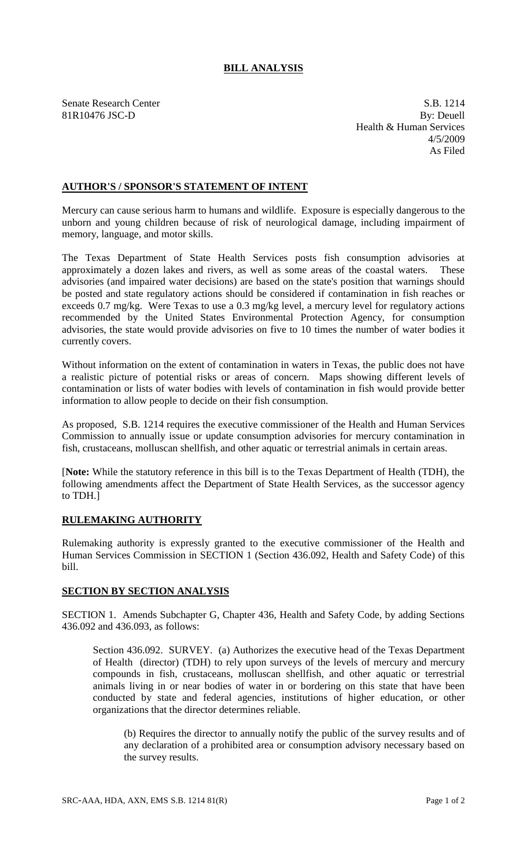## **BILL ANALYSIS**

Senate Research Center S.B. 1214 81R10476 JSC-D By: Deuell Health & Human Services 4/5/2009 As Filed

## **AUTHOR'S / SPONSOR'S STATEMENT OF INTENT**

Mercury can cause serious harm to humans and wildlife. Exposure is especially dangerous to the unborn and young children because of risk of neurological damage, including impairment of memory, language, and motor skills.

The Texas Department of State Health Services posts fish consumption advisories at approximately a dozen lakes and rivers, as well as some areas of the coastal waters. These advisories (and impaired water decisions) are based on the state's position that warnings should be posted and state regulatory actions should be considered if contamination in fish reaches or exceeds 0.7 mg/kg. Were Texas to use a 0.3 mg/kg level, a mercury level for regulatory actions recommended by the United States Environmental Protection Agency, for consumption advisories, the state would provide advisories on five to 10 times the number of water bodies it currently covers.

Without information on the extent of contamination in waters in Texas, the public does not have a realistic picture of potential risks or areas of concern. Maps showing different levels of contamination or lists of water bodies with levels of contamination in fish would provide better information to allow people to decide on their fish consumption.

As proposed, S.B. 1214 requires the executive commissioner of the Health and Human Services Commission to annually issue or update consumption advisories for mercury contamination in fish, crustaceans, molluscan shellfish, and other aquatic or terrestrial animals in certain areas.

[**Note:** While the statutory reference in this bill is to the Texas Department of Health (TDH), the following amendments affect the Department of State Health Services, as the successor agency to TDH.]

## **RULEMAKING AUTHORITY**

Rulemaking authority is expressly granted to the executive commissioner of the Health and Human Services Commission in SECTION 1 (Section 436.092, Health and Safety Code) of this bill.

## **SECTION BY SECTION ANALYSIS**

SECTION 1. Amends Subchapter G, Chapter 436, Health and Safety Code, by adding Sections 436.092 and 436.093, as follows:

Section 436.092. SURVEY. (a) Authorizes the executive head of the Texas Department of Health (director) (TDH) to rely upon surveys of the levels of mercury and mercury compounds in fish, crustaceans, molluscan shellfish, and other aquatic or terrestrial animals living in or near bodies of water in or bordering on this state that have been conducted by state and federal agencies, institutions of higher education, or other organizations that the director determines reliable.

(b) Requires the director to annually notify the public of the survey results and of any declaration of a prohibited area or consumption advisory necessary based on the survey results.